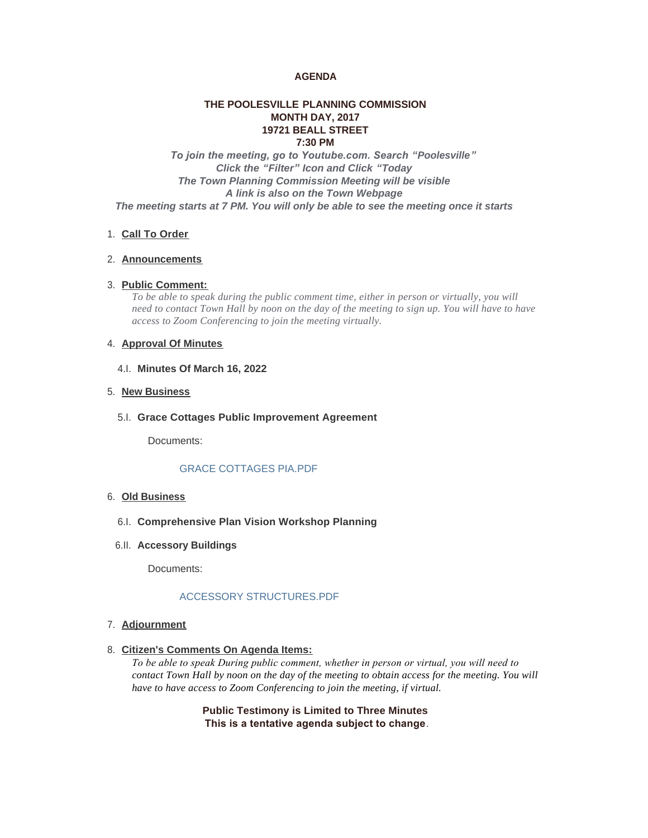## **AGENDA**

## **THE POOLESVILLE PLANNING COMMISSION MONTH DAY, 2017 19721 BEALL STREET 7:30 PM**

 *To join the meeting, go to Youtube.com. Search "Poolesville" Click the "Filter" Icon and Click "Today The Town Planning Commission Meeting will be visible A link is also on the Town Webpage The meeting starts at 7 PM. You will only be able to see the meeting once it starts*

## 1. Call To Order

#### **Announcements** 2.

## **Public Comment:** 3.

*To be able to speak during the public comment time, either in person or virtually, you will need to contact Town Hall by noon on the day of the meeting to sign up. You will have to have access to Zoom Conferencing to join the meeting virtually.*

## 4. **Approval Of Minutes**

**Minutes Of March 16, 2022** 4.I.

## 5. New Business

**Grace Cottages Public Improvement Agreement** 5.I.

Documents:

# GRACE COTTAGES PIA.PDF

## **Old Business** 6.

- **Comprehensive Plan Vision Workshop Planning** 6.I.
- **Accessory Buildings** 6.II.

Documents:

# ACCESSORY STRUCTURES.PDF

## **Adjournment** 7.

**Citizen's Comments On Agenda Items:** 8.

*To be able to speak During public comment, whether in person or virtual, you will need to contact Town Hall by noon on the day of the meeting to obtain access for the meeting. You will have to have access to Zoom Conferencing to join the meeting, if virtual.*

> **Public Testimony is Limited to Three Minutes This is a tentative agenda subject to change**.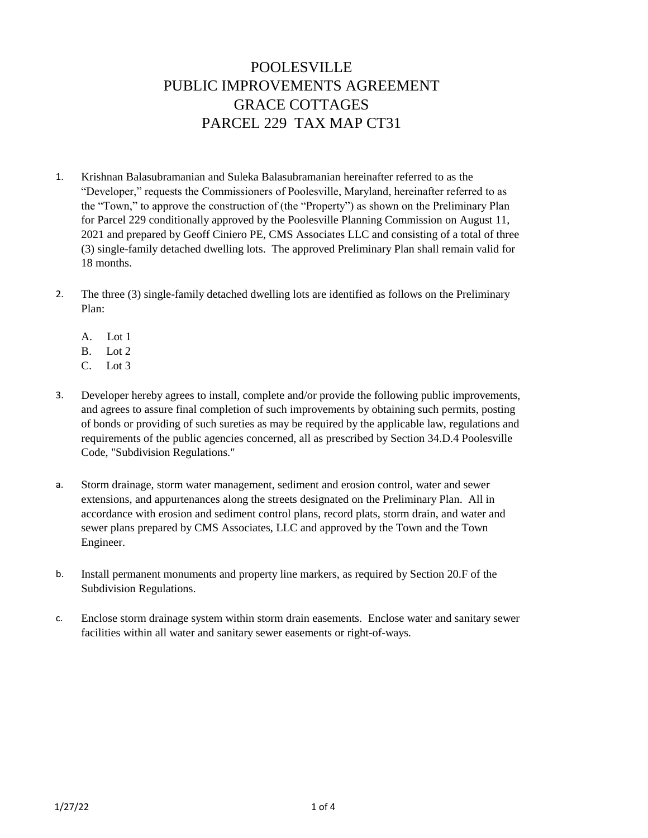# POOLESVILLE PUBLIC IMPROVEMENTS AGREEMENT GRACE COTTAGES PARCEL 229 TAX MAP CT31

- 1. Krishnan Balasubramanian and Suleka Balasubramanian hereinafter referred to as the "Developer," requests the Commissioners of Poolesville, Maryland, hereinafter referred to as the "Town," to approve the construction of (the "Property") as shown on the Preliminary Plan for Parcel 229 conditionally approved by the Poolesville Planning Commission on August 11, 2021 and prepared by Geoff Ciniero PE, CMS Associates LLC and consisting of a total of three (3) single-family detached dwelling lots. The approved Preliminary Plan shall remain valid for 18 months.
- 2. The three (3) single-family detached dwelling lots are identified as follows on the Preliminary Plan:
	- A. Lot 1
	- B. Lot 2
	- C. Lot 3
- 3. Developer hereby agrees to install, complete and/or provide the following public improvements, and agrees to assure final completion of such improvements by obtaining such permits, posting of bonds or providing of such sureties as may be required by the applicable law, regulations and requirements of the public agencies concerned, all as prescribed by Section 34.D.4 Poolesville Code, "Subdivision Regulations."
- a. Storm drainage, storm water management, sediment and erosion control, water and sewer extensions, and appurtenances along the streets designated on the Preliminary Plan. All in accordance with erosion and sediment control plans, record plats, storm drain, and water and sewer plans prepared by CMS Associates, LLC and approved by the Town and the Town Engineer.
- b. Install permanent monuments and property line markers, as required by Section 20.F of the Subdivision Regulations.
- c. Enclose storm drainage system within storm drain easements. Enclose water and sanitary sewer facilities within all water and sanitary sewer easements or right-of-ways.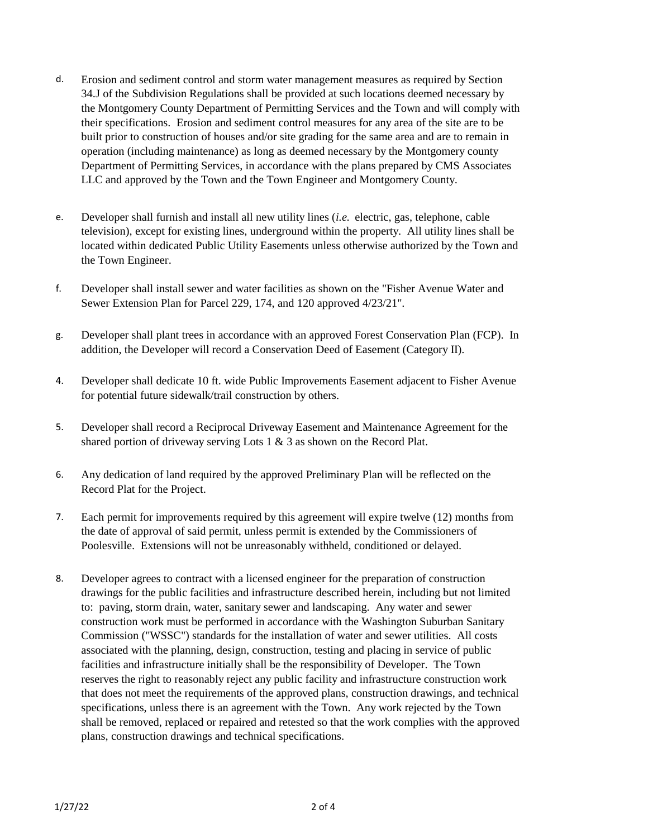- d. Erosion and sediment control and storm water management measures as required by Section 34.J of the Subdivision Regulations shall be provided at such locations deemed necessary by the Montgomery County Department of Permitting Services and the Town and will comply with their specifications. Erosion and sediment control measures for any area of the site are to be built prior to construction of houses and/or site grading for the same area and are to remain in operation (including maintenance) as long as deemed necessary by the Montgomery county Department of Permitting Services, in accordance with the plans prepared by CMS Associates LLC and approved by the Town and the Town Engineer and Montgomery County.
- e. Developer shall furnish and install all new utility lines (*i.e.* electric, gas, telephone, cable television), except for existing lines, underground within the property. All utility lines shall be located within dedicated Public Utility Easements unless otherwise authorized by the Town and the Town Engineer.
- f. Developer shall install sewer and water facilities as shown on the "Fisher Avenue Water and Sewer Extension Plan for Parcel 229, 174, and 120 approved 4/23/21".
- g. Developer shall plant trees in accordance with an approved Forest Conservation Plan (FCP). In addition, the Developer will record a Conservation Deed of Easement (Category II).
- 4. Developer shall dedicate 10 ft. wide Public Improvements Easement adjacent to Fisher Avenue for potential future sidewalk/trail construction by others.
- 5. Developer shall record a Reciprocal Driveway Easement and Maintenance Agreement for the shared portion of driveway serving Lots 1 & 3 as shown on the Record Plat.
- 6. Any dedication of land required by the approved Preliminary Plan will be reflected on the Record Plat for the Project.
- 7. Each permit for improvements required by this agreement will expire twelve (12) months from the date of approval of said permit, unless permit is extended by the Commissioners of Poolesville. Extensions will not be unreasonably withheld, conditioned or delayed.
- 8. Developer agrees to contract with a licensed engineer for the preparation of construction drawings for the public facilities and infrastructure described herein, including but not limited to: paving, storm drain, water, sanitary sewer and landscaping. Any water and sewer construction work must be performed in accordance with the Washington Suburban Sanitary Commission ("WSSC") standards for the installation of water and sewer utilities. All costs associated with the planning, design, construction, testing and placing in service of public facilities and infrastructure initially shall be the responsibility of Developer. The Town reserves the right to reasonably reject any public facility and infrastructure construction work that does not meet the requirements of the approved plans, construction drawings, and technical specifications, unless there is an agreement with the Town. Any work rejected by the Town shall be removed, replaced or repaired and retested so that the work complies with the approved plans, construction drawings and technical specifications.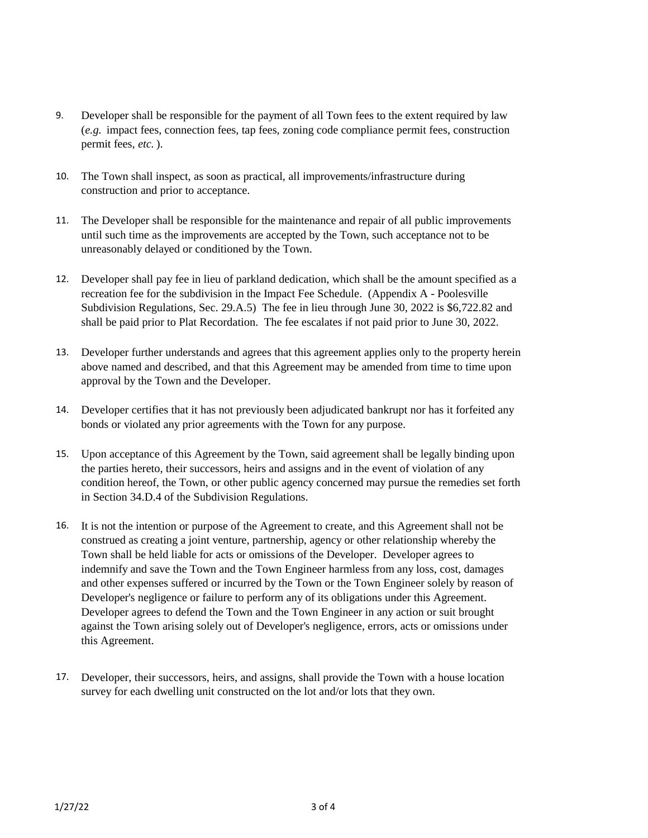- 9. Developer shall be responsible for the payment of all Town fees to the extent required by law (*e.g.* impact fees, connection fees, tap fees, zoning code compliance permit fees, construction permit fees, *etc.* ).
- 10. The Town shall inspect, as soon as practical, all improvements/infrastructure during construction and prior to acceptance.
- 11. The Developer shall be responsible for the maintenance and repair of all public improvements until such time as the improvements are accepted by the Town, such acceptance not to be unreasonably delayed or conditioned by the Town.
- 12. Developer shall pay fee in lieu of parkland dedication, which shall be the amount specified as a recreation fee for the subdivision in the Impact Fee Schedule. (Appendix A - Poolesville Subdivision Regulations, Sec. 29.A.5) The fee in lieu through June 30, 2022 is \$6,722.82 and shall be paid prior to Plat Recordation. The fee escalates if not paid prior to June 30, 2022.
- 13. Developer further understands and agrees that this agreement applies only to the property herein above named and described, and that this Agreement may be amended from time to time upon approval by the Town and the Developer.
- 14. Developer certifies that it has not previously been adjudicated bankrupt nor has it forfeited any bonds or violated any prior agreements with the Town for any purpose.
- 15. Upon acceptance of this Agreement by the Town, said agreement shall be legally binding upon the parties hereto, their successors, heirs and assigns and in the event of violation of any condition hereof, the Town, or other public agency concerned may pursue the remedies set forth in Section 34.D.4 of the Subdivision Regulations.
- 16. It is not the intention or purpose of the Agreement to create, and this Agreement shall not be construed as creating a joint venture, partnership, agency or other relationship whereby the Town shall be held liable for acts or omissions of the Developer. Developer agrees to indemnify and save the Town and the Town Engineer harmless from any loss, cost, damages and other expenses suffered or incurred by the Town or the Town Engineer solely by reason of Developer's negligence or failure to perform any of its obligations under this Agreement. Developer agrees to defend the Town and the Town Engineer in any action or suit brought against the Town arising solely out of Developer's negligence, errors, acts or omissions under this Agreement.
- 17. Developer, their successors, heirs, and assigns, shall provide the Town with a house location survey for each dwelling unit constructed on the lot and/or lots that they own.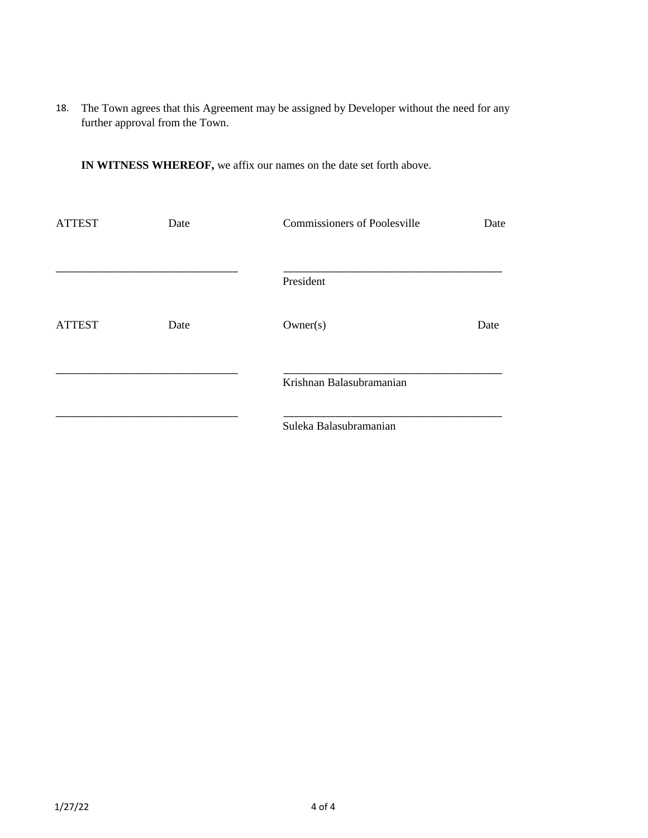18. The Town agrees that this Agreement may be assigned by Developer without the need for any further approval from the Town.

**IN WITNESS WHEREOF,** we affix our names on the date set forth above.

| <b>ATTEST</b> | <b>Commissioners of Poolesville</b><br>Date |                          | Date |
|---------------|---------------------------------------------|--------------------------|------|
|               |                                             | President                |      |
| <b>ATTEST</b> | Date                                        | Owner(s)                 | Date |
|               |                                             | Krishnan Balasubramanian |      |
|               |                                             | Suleka Balasubramanian   |      |